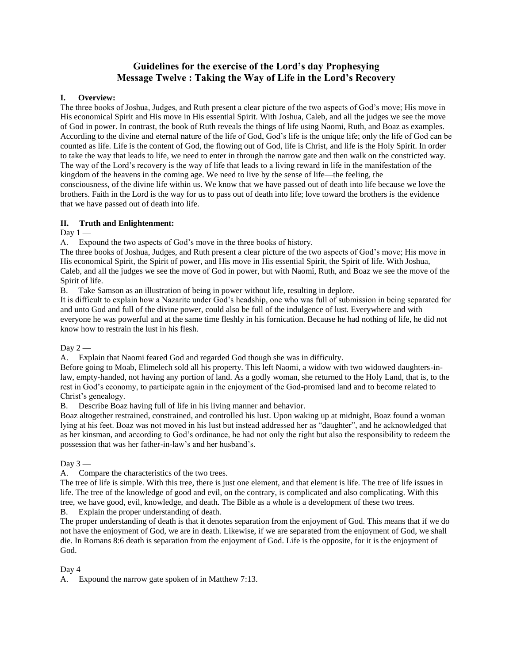# **Guidelines for the exercise of the Lord's day Prophesying Message Twelve : Taking the Way of Life in the Lord's Recovery**

# **I. Overview:**

The three books of Joshua, Judges, and Ruth present a clear picture of the two aspects of God's move; His move in His economical Spirit and His move in His essential Spirit. With Joshua, Caleb, and all the judges we see the move of God in power. In contrast, the book of Ruth reveals the things of life using Naomi, Ruth, and Boaz as examples. According to the divine and eternal nature of the life of God, God's life is the unique life; only the life of God can be counted as life. Life is the content of God, the flowing out of God, life is Christ, and life is the Holy Spirit. In order to take the way that leads to life, we need to enter in through the narrow gate and then walk on the constricted way. The way of the Lord's recovery is the way of life that leads to a living reward in life in the manifestation of the kingdom of the heavens in the coming age. We need to live by the sense of life—the feeling, the consciousness, of the divine life within us. We know that we have passed out of death into life because we love the brothers. Faith in the Lord is the way for us to pass out of death into life; love toward the brothers is the evidence that we have passed out of death into life.

# **II. Truth and Enlightenment:**

Day  $1 -$ 

A. Expound the two aspects of God's move in the three books of history.

The three books of Joshua, Judges, and Ruth present a clear picture of the two aspects of God's move; His move in His economical Spirit, the Spirit of power, and His move in His essential Spirit, the Spirit of life. With Joshua, Caleb, and all the judges we see the move of God in power, but with Naomi, Ruth, and Boaz we see the move of the Spirit of life.

B. Take Samson as an illustration of being in power without life, resulting in deplore.

It is difficult to explain how a Nazarite under God's headship, one who was full of submission in being separated for and unto God and full of the divine power, could also be full of the indulgence of lust. Everywhere and with everyone he was powerful and at the same time fleshly in his fornication. Because he had nothing of life, he did not know how to restrain the lust in his flesh.

Day  $2-$ 

A. Explain that Naomi feared God and regarded God though she was in difficulty.

Before going to Moab, Elimelech sold all his property. This left Naomi, a widow with two widowed daughters-inlaw, empty-handed, not having any portion of land. As a godly woman, she returned to the Holy Land, that is, to the rest in God's economy, to participate again in the enjoyment of the God-promised land and to become related to Christ's genealogy.

B. Describe Boaz having full of life in his living manner and behavior.

Boaz altogether restrained, constrained, and controlled his lust. Upon waking up at midnight, Boaz found a woman lying at his feet. Boaz was not moved in his lust but instead addressed her as "daughter", and he acknowledged that as her kinsman, and according to God's ordinance, he had not only the right but also the responsibility to redeem the possession that was her father-in-law's and her husband's.

Day  $3-$ 

A. Compare the characteristics of the two trees.

The tree of life is simple. With this tree, there is just one element, and that element is life. The tree of life issues in life. The tree of the knowledge of good and evil, on the contrary, is complicated and also complicating. With this tree, we have good, evil, knowledge, and death. The Bible as a whole is a development of these two trees. B. Explain the proper understanding of death.

The proper understanding of death is that it denotes separation from the enjoyment of God. This means that if we do not have the enjoyment of God, we are in death. Likewise, if we are separated from the enjoyment of God, we shall die. In Romans 8:6 death is separation from the enjoyment of God. Life is the opposite, for it is the enjoyment of God.

# Day  $4-$

A. Expound the narrow gate spoken of in Matthew 7:13.